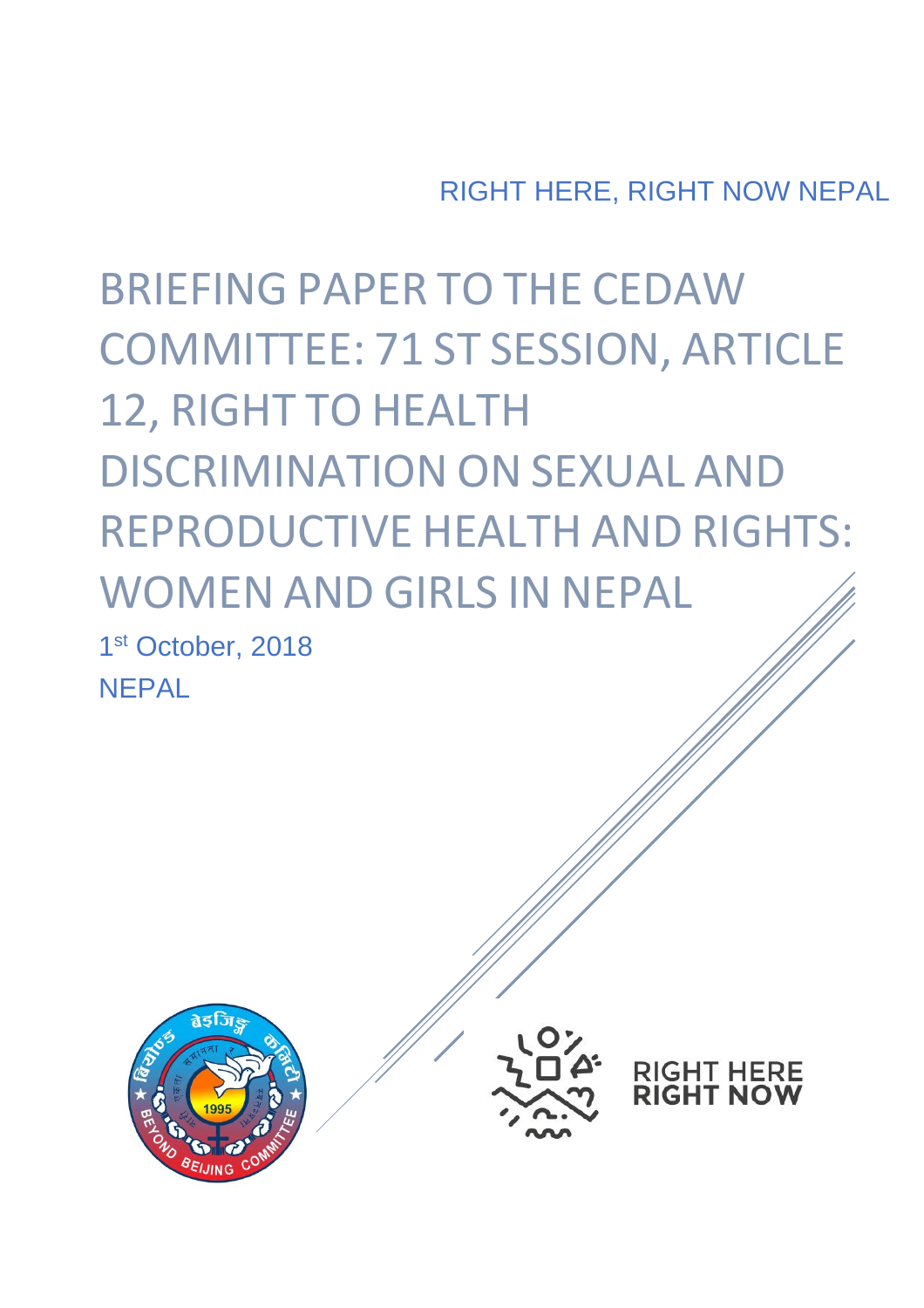RIGHT HERE, RIGHT NOW NEPAL

BRIEFING PAPER TO THE CEDAW COMMITTEE: 71 ST SESSION, ARTICLE 12, RIGHT TO HEALTH DISCRIMINATION ON SEXUAL AND REPRODUCTIVE HEALTH AND RIGHTS: WOMEN AND GIRLS IN NEPAL 1st October, 2018 **NFPAL** 





**RIGHT HERE<br>RIGHT NOW**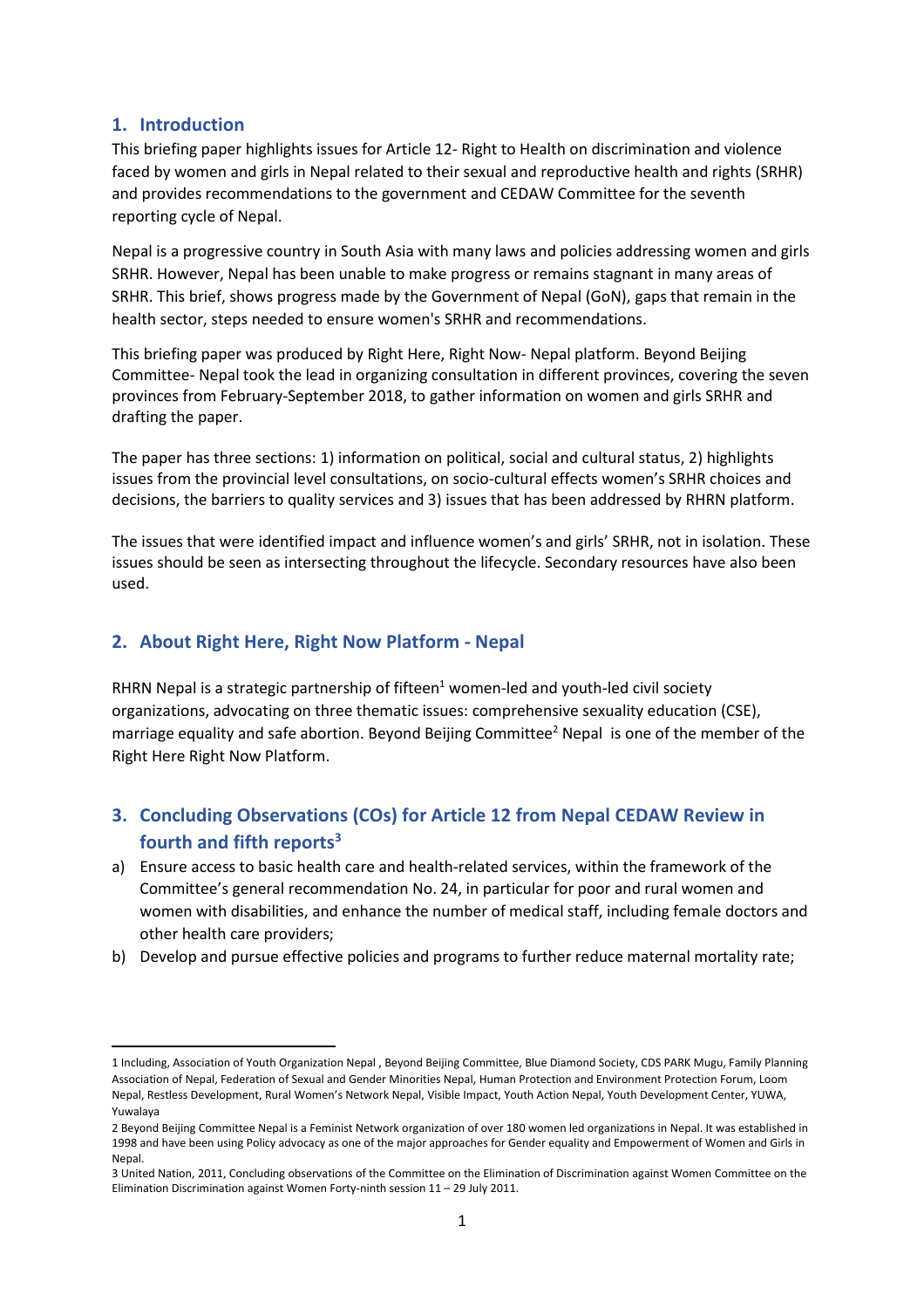# **1. Introduction**

 $\overline{a}$ 

This briefing paper highlights issues for Article 12- Right to Health on discrimination and violence faced by women and girls in Nepal related to their sexual and reproductive health and rights (SRHR) and provides recommendations to the government and CEDAW Committee for the seventh reporting cycle of Nepal.

Nepal is a progressive country in South Asia with many laws and policies addressing women and girls SRHR. However, Nepal has been unable to make progress or remains stagnant in many areas of SRHR. This brief, shows progress made by the Government of Nepal (GoN), gaps that remain in the health sector, steps needed to ensure women's SRHR and recommendations.

This briefing paper was produced by Right Here, Right Now- Nepal platform. Beyond Beijing Committee- Nepal took the lead in organizing consultation in different provinces, covering the seven provinces from February-September 2018, to gather information on women and girls SRHR and drafting the paper.

The paper has three sections: 1) information on political, social and cultural status, 2) highlights issues from the provincial level consultations, on socio-cultural effects women's SRHR choices and decisions, the barriers to quality services and 3) issues that has been addressed by RHRN platform.

The issues that were identified impact and influence women's and girls' SRHR, not in isolation. These issues should be seen as intersecting throughout the lifecycle. Secondary resources have also been used.

# **2. About Right Here, Right Now Platform - Nepal**

RHRN Nepal is a strategic partnership of fifteen $1$  women-led and youth-led civil society organizations, advocating on three thematic issues: comprehensive sexuality education (CSE), marriage equality and safe abortion. Beyond Beijing Committee<sup>2</sup> Nepal is one of the member of the Right Here Right Now Platform.

# **3. Concluding Observations (COs) for Article 12 from Nepal CEDAW Review in fourth and fifth reports<sup>3</sup>**

- a) Ensure access to basic health care and health-related services, within the framework of the Committee's general recommendation No. 24, in particular for poor and rural women and women with disabilities, and enhance the number of medical staff, including female doctors and other health care providers;
- b) Develop and pursue effective policies and programs to further reduce maternal mortality rate;

<sup>1</sup> Including, Association of Youth Organization Nepal , Beyond Beijing Committee, Blue Diamond Society, CDS PARK Mugu, Family Planning Association of Nepal, Federation of Sexual and Gender Minorities Nepal, Human Protection and Environment Protection Forum, Loom Nepal, Restless Development, Rural Women's Network Nepal, Visible Impact, Youth Action Nepal, Youth Development Center, YUWA, Yuwalaya

<sup>2</sup> Beyond Beijing Committee Nepal is a Feminist Network organization of over 180 women led organizations in Nepal. It was established in 1998 and have been using Policy advocacy as one of the major approaches for Gender equality and Empowerment of Women and Girls in Nepal.

<sup>3</sup> United Nation, 2011, Concluding observations of the Committee on the Elimination of Discrimination against Women Committee on the Elimination Discrimination against Women Forty-ninth session 11 – 29 July 2011.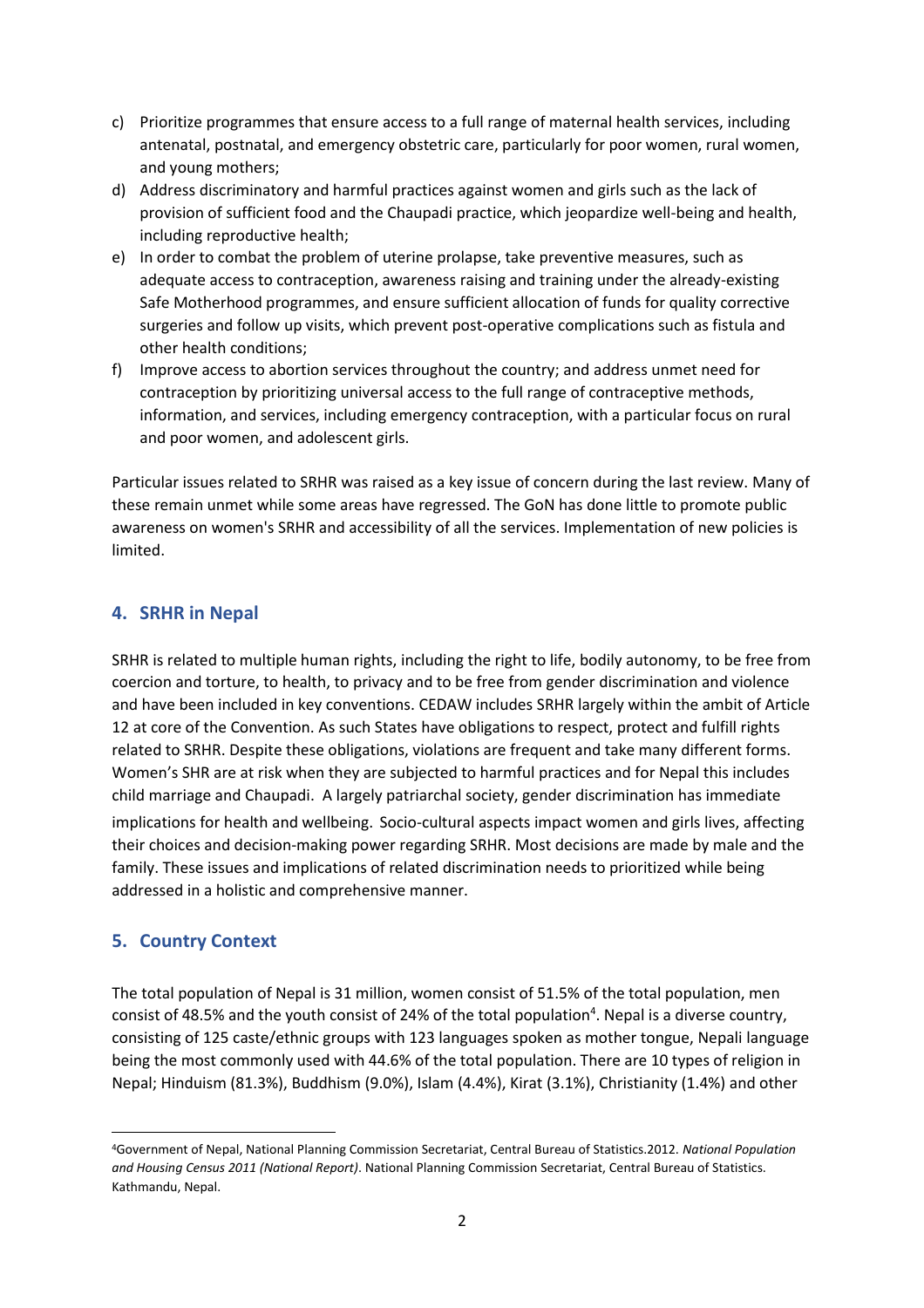- c) Prioritize programmes that ensure access to a full range of maternal health services, including antenatal, postnatal, and emergency obstetric care, particularly for poor women, rural women, and young mothers;
- d) Address discriminatory and harmful practices against women and girls such as the lack of provision of sufficient food and the Chaupadi practice, which jeopardize well-being and health, including reproductive health;
- e) In order to combat the problem of uterine prolapse, take preventive measures, such as adequate access to contraception, awareness raising and training under the already-existing Safe Motherhood programmes, and ensure sufficient allocation of funds for quality corrective surgeries and follow up visits, which prevent post-operative complications such as fistula and other health conditions;
- f) Improve access to abortion services throughout the country; and address unmet need for contraception by prioritizing universal access to the full range of contraceptive methods, information, and services, including emergency contraception, with a particular focus on rural and poor women, and adolescent girls.

Particular issues related to SRHR was raised as a key issue of concern during the last review. Many of these remain unmet while some areas have regressed. The GoN has done little to promote public awareness on women's SRHR and accessibility of all the services. Implementation of new policies is limited.

# **4. SRHR in Nepal**

SRHR is related to multiple human rights, including the right to life, bodily autonomy, to be free from coercion and torture, to health, to privacy and to be free from gender discrimination and violence and have been included in key conventions. CEDAW includes SRHR largely within the ambit of Article 12 at core of the Convention. As such States have obligations to respect, protect and fulfill rights related to SRHR. Despite these obligations, violations are frequent and take many different forms. Women's SHR are at risk when they are subjected to harmful practices and for Nepal this includes child marriage and Chaupadi. A largely patriarchal society, gender discrimination has immediate implications for health and wellbeing. Socio-cultural aspects impact women and girls lives, affecting their choices and decision-making power regarding SRHR. Most decisions are made by male and the family. These issues and implications of related discrimination needs to prioritized while being addressed in a holistic and comprehensive manner.

# **5. Country Context**

The total population of Nepal is 31 million, women consist of 51.5% of the total population, men consist of 48.5% and the youth consist of 24% of the total population<sup>4</sup>. Nepal is a diverse country, consisting of 125 caste/ethnic groups with 123 languages spoken as mother tongue, Nepali language being the most commonly used with 44.6% of the total population. There are 10 types of religion in Nepal; Hinduism (81.3%), Buddhism (9.0%), Islam (4.4%), Kirat (3.1%), Christianity (1.4%) and other

 $\overline{\phantom{a}}$ <sup>4</sup>Government of Nepal, National Planning Commission Secretariat, Central Bureau of Statistics.2012. *National Population and Housing Census 2011 (National Report)*. National Planning Commission Secretariat, Central Bureau of Statistics. Kathmandu, Nepal.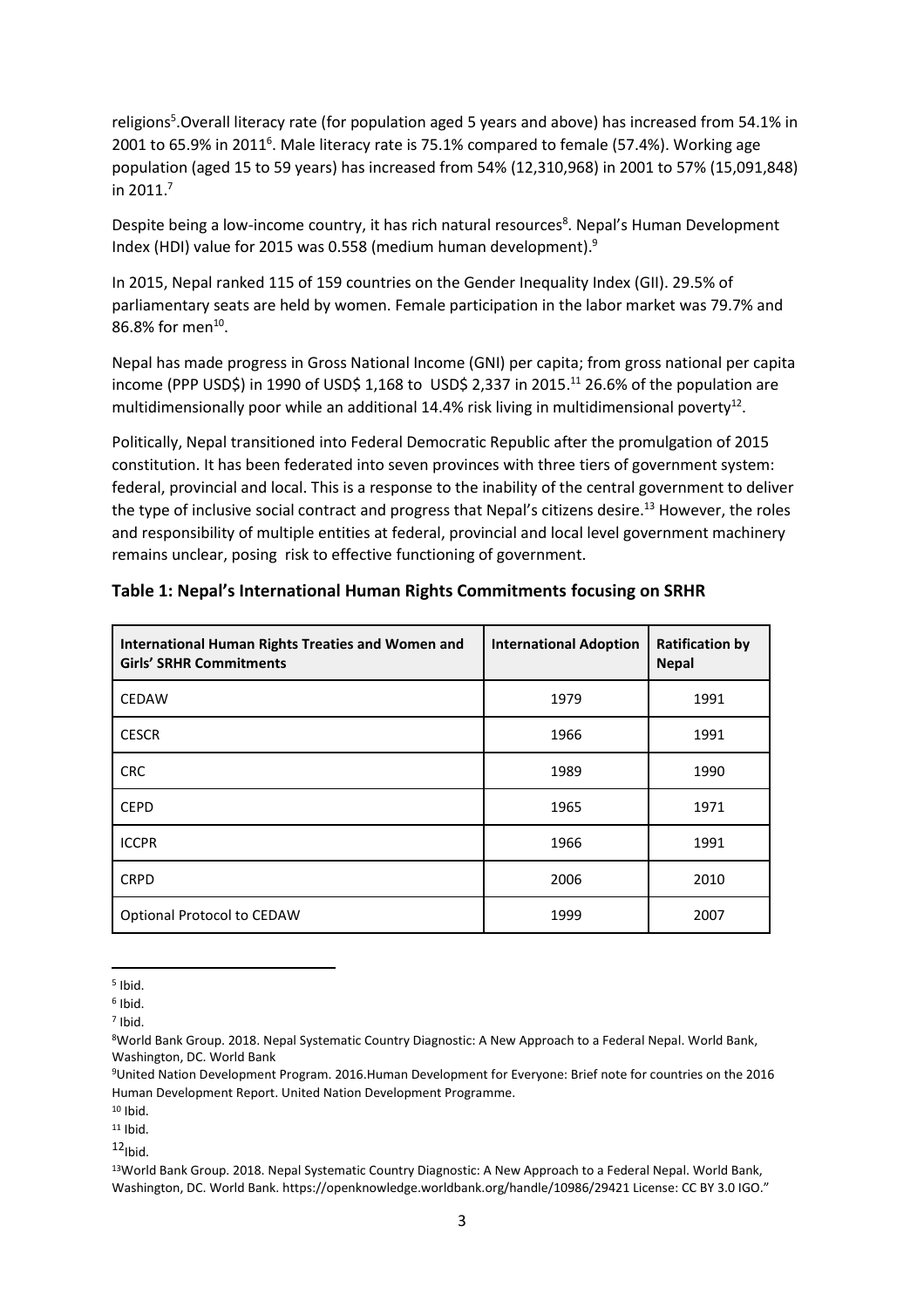religions 5 .Overall literacy rate (for population aged 5 years and above) has increased from 54.1% in 2001 to 65.9% in 2011<sup>6</sup>. Male literacy rate is 75.1% compared to female (57.4%). Working age population (aged 15 to 59 years) has increased from 54% (12,310,968) in 2001 to 57% (15,091,848) in 2011.<sup>7</sup>

Despite being a low-income country, it has rich natural resources<sup>8</sup>. Nepal's Human Development Index (HDI) value for 2015 was 0.558 (medium human development).<sup>9</sup>

In 2015, Nepal ranked 115 of 159 countries on the Gender Inequality Index (GII). 29.5% of parliamentary seats are held by women. Female participation in the labor market was 79.7% and 86.8% for men<sup>10</sup>.

Nepal has made progress in Gross National Income (GNI) per capita; from gross national per capita income (PPP USD\$) in 1990 of USD\$ 1,168 to USD\$ 2,337 in 2015.<sup>11</sup> 26.6% of the population are multidimensionally poor while an additional 14.4% risk living in multidimensional poverty $^{12}$ .

Politically, Nepal transitioned into Federal Democratic Republic after the promulgation of 2015 constitution. It has been federated into seven provinces with three tiers of government system: federal, provincial and local. This is a response to the inability of the central government to deliver the type of inclusive social contract and progress that Nepal's citizens desire. <sup>13</sup> However, the roles and responsibility of multiple entities at federal, provincial and local level government machinery remains unclear, posing risk to effective functioning of government.

| <b>International Human Rights Treaties and Women and</b><br><b>Girls' SRHR Commitments</b> | <b>International Adoption</b> | <b>Ratification by</b><br><b>Nepal</b> |
|--------------------------------------------------------------------------------------------|-------------------------------|----------------------------------------|
| <b>CEDAW</b>                                                                               | 1979                          | 1991                                   |
| <b>CESCR</b>                                                                               | 1966                          | 1991                                   |
| <b>CRC</b>                                                                                 | 1989                          | 1990                                   |
| <b>CEPD</b>                                                                                | 1965                          | 1971                                   |
| <b>ICCPR</b>                                                                               | 1966                          | 1991                                   |
| <b>CRPD</b>                                                                                | 2006                          | 2010                                   |
| Optional Protocol to CEDAW                                                                 | 1999                          | 2007                                   |

## **Table 1: Nepal's International Human Rights Commitments focusing on SRHR**

<sup>9</sup>United Nation Development Program. 2016.Human Development for Everyone: Brief note for countries on the 2016 Human Development Report. United Nation Development Programme.

<sup>10</sup> Ibid.

 $11$  Ibid.

 $12$ Ibid.

 $\overline{a}$ 5 Ibid.

<sup>6</sup> Ibid.

<sup>7</sup> Ibid.

<sup>8</sup>World Bank Group. 2018. Nepal Systematic Country Diagnostic: A New Approach to a Federal Nepal. World Bank, Washington, DC. World Bank

<sup>13</sup>World Bank Group. 2018. Nepal Systematic Country Diagnostic: A New Approach to a Federal Nepal. World Bank, Washington, DC. World Bank. https://openknowledge.worldbank.org/handle/10986/29421 License: CC BY 3.0 IGO."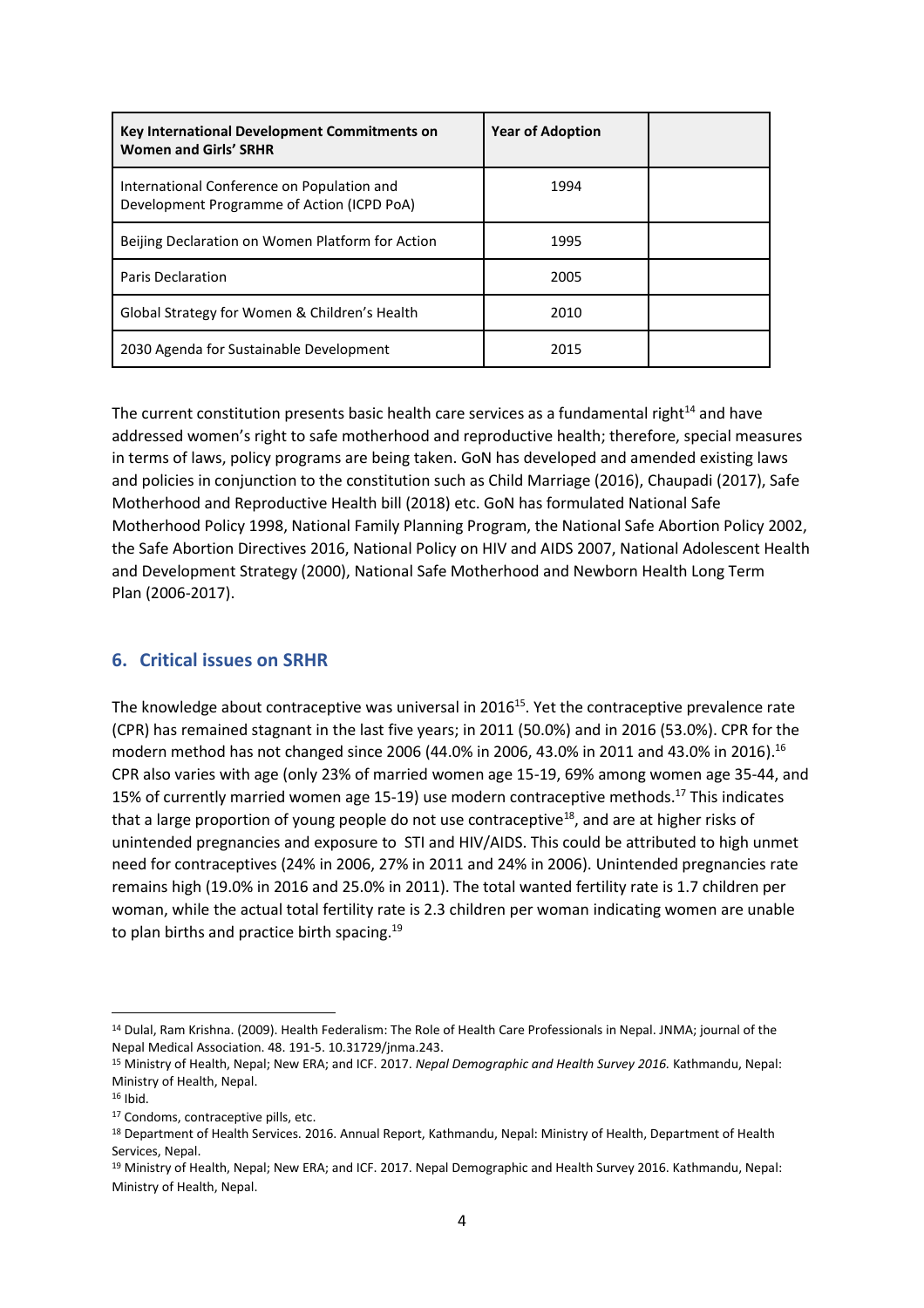| Key International Development Commitments on<br><b>Women and Girls' SRHR</b>             | <b>Year of Adoption</b> |  |
|------------------------------------------------------------------------------------------|-------------------------|--|
| International Conference on Population and<br>Development Programme of Action (ICPD PoA) | 1994                    |  |
| Beijing Declaration on Women Platform for Action                                         | 1995                    |  |
| <b>Paris Declaration</b>                                                                 | 2005                    |  |
| Global Strategy for Women & Children's Health                                            | 2010                    |  |
| 2030 Agenda for Sustainable Development                                                  | 2015                    |  |

The current constitution presents basic health care services as a fundamental right $14$  and have addressed women's right to safe motherhood and reproductive health; therefore, special measures in terms of laws, policy programs are being taken. GoN has developed and amended existing laws and policies in conjunction to the constitution such as Child Marriage (2016), Chaupadi (2017), Safe Motherhood and Reproductive Health bill (2018) etc. GoN has formulated National Safe Motherhood Policy 1998, National Family Planning Program, the National Safe Abortion Policy 2002, the Safe Abortion Directives 2016, National Policy on HIV and AIDS 2007, National Adolescent Health and Development Strategy (2000), National Safe Motherhood and Newborn Health Long Term Plan (2006-2017).

# **6. Critical issues on SRHR**

The knowledge about contraceptive was universal in 2016<sup>15</sup>. Yet the contraceptive prevalence rate (CPR) has remained stagnant in the last five years; in 2011 (50.0%) and in 2016 (53.0%). CPR for the modern method has not changed since 2006 (44.0% in 2006, 43.0% in 2011 and 43.0% in 2016).<sup>16</sup> CPR also varies with age (only 23% of married women age 15-19, 69% among women age 35-44, and 15% of currently married women age 15-19) use modern contraceptive methods.<sup>17</sup> This indicates that a large proportion of young people do not use contraceptive<sup>18</sup>, and are at higher risks of unintended pregnancies and exposure to STI and HIV/AIDS. This could be attributed to high unmet need for contraceptives (24% in 2006, 27% in 2011 and 24% in 2006). Unintended pregnancies rate remains high (19.0% in 2016 and 25.0% in 2011). The total wanted fertility rate is 1.7 children per woman, while the actual total fertility rate is 2.3 children per woman indicating women are unable to plan births and practice birth spacing.<sup>19</sup>

 $\overline{\phantom{a}}$ 

<sup>14</sup> Dulal, Ram Krishna. (2009). Health Federalism: The Role of Health Care Professionals in Nepal. JNMA; journal of the Nepal Medical Association. 48. 191-5. 10.31729/jnma.243.

<sup>15</sup> Ministry of Health, Nepal; New ERA; and ICF. 2017. *Nepal Demographic and Health Survey 2016.* Kathmandu, Nepal: Ministry of Health, Nepal.

<sup>16</sup> Ibid.

<sup>17</sup> Condoms, contraceptive pills, etc.

<sup>18</sup> Department of Health Services. 2016. Annual Report, Kathmandu, Nepal: Ministry of Health, Department of Health Services, Nepal.

<sup>19</sup> Ministry of Health, Nepal; New ERA; and ICF. 2017. Nepal Demographic and Health Survey 2016. Kathmandu, Nepal: Ministry of Health, Nepal.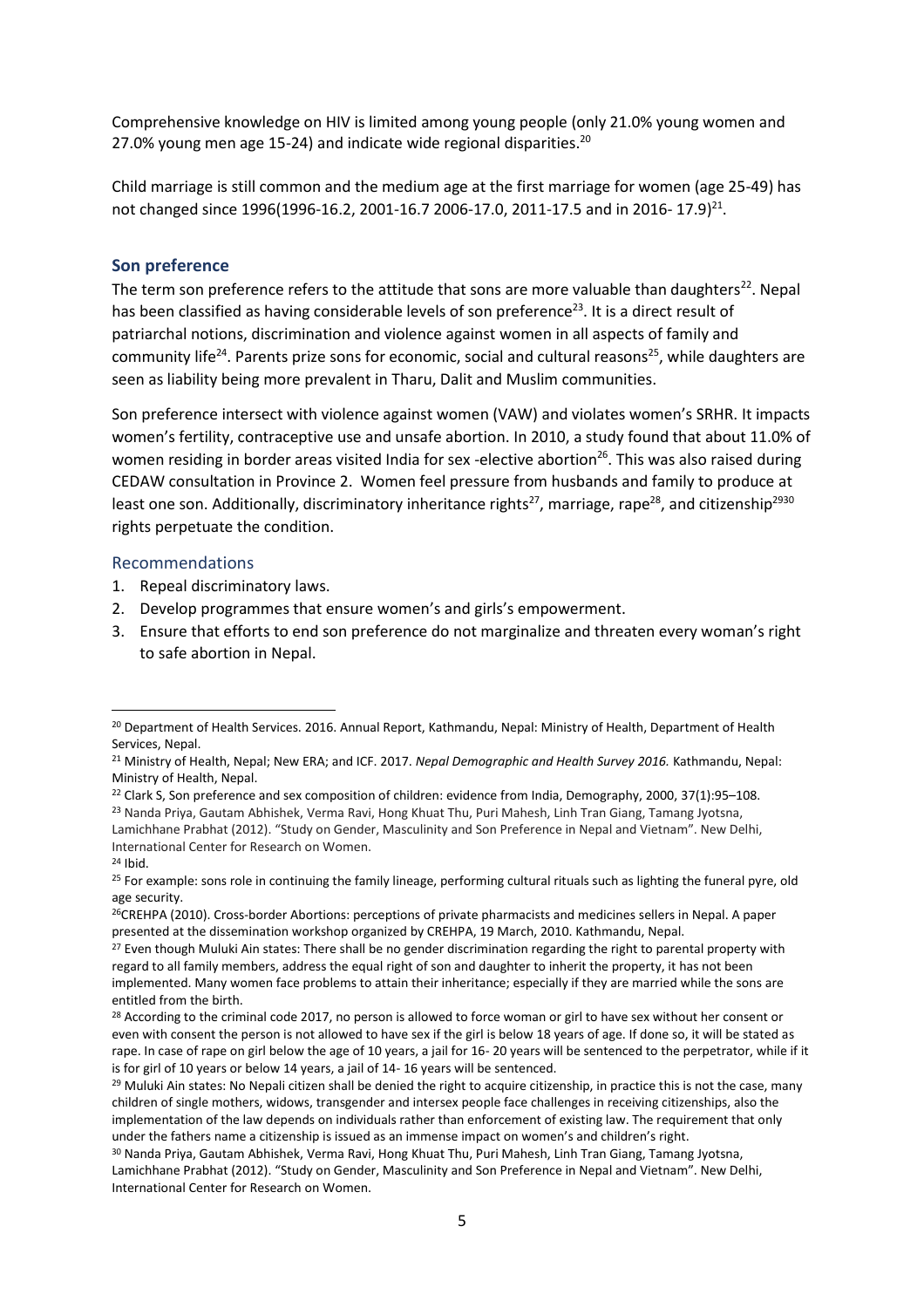Comprehensive knowledge on HIV is limited among young people (only 21.0% young women and 27.0% young men age 15-24) and indicate wide regional disparities.<sup>20</sup>

Child marriage is still common and the medium age at the first marriage for women (age 25-49) has not changed since 1996(1996-16.2, 2001-16.7 2006-17.0, 2011-17.5 and in 2016- 17.9)<sup>21</sup>.

#### **Son preference**

The term son preference refers to the attitude that sons are more valuable than daughters $22$ . Nepal has been classified as having considerable levels of son preference<sup>23</sup>. It is a direct result of patriarchal notions, discrimination and violence against women in all aspects of family and community life<sup>24</sup>. Parents prize sons for economic, social and cultural reasons<sup>25</sup>, while daughters are seen as liability being more prevalent in Tharu, Dalit and Muslim communities.

Son preference intersect with violence against women (VAW) and violates women's SRHR. It impacts women's fertility, contraceptive use and unsafe abortion. In 2010, a study found that about 11.0% of women residing in border areas visited India for sex -elective abortion<sup>26</sup>. This was also raised during CEDAW consultation in Province 2. Women feel pressure from husbands and family to produce at least one son. Additionally, discriminatory inheritance rights<sup>27</sup>, marriage, rape<sup>28</sup>, and citizenship<sup>2930</sup> rights perpetuate the condition.

#### Recommendations

- 1. Repeal discriminatory laws.
- 2. Develop programmes that ensure women's and girls's empowerment.
- 3. Ensure that efforts to end son preference do not marginalize and threaten every woman's right to safe abortion in Nepal.

 $\overline{a}$ <sup>20</sup> Department of Health Services. 2016. Annual Report, Kathmandu, Nepal: Ministry of Health, Department of Health Services, Nepal.

<sup>21</sup> Ministry of Health, Nepal; New ERA; and ICF. 2017. *Nepal Demographic and Health Survey 2016.* Kathmandu, Nepal: Ministry of Health, Nepal.

<sup>&</sup>lt;sup>22</sup> Clark S, Son preference and sex composition of children: evidence from India, Demography, 2000, 37(1):95–108. <sup>23</sup> Nanda Priya, Gautam Abhishek, Verma Ravi, Hong Khuat Thu, Puri Mahesh, Linh Tran Giang, Tamang Jyotsna, Lamichhane Prabhat (2012). "Study on Gender, Masculinity and Son Preference in Nepal and Vietnam". New Delhi, International Center for Research on Women. <sup>24</sup> Ibid.

<sup>&</sup>lt;sup>25</sup> For example: sons role in continuing the family lineage, performing cultural rituals such as lighting the funeral pyre, old age security.

<sup>&</sup>lt;sup>26</sup>CREHPA (2010). Cross-border Abortions: perceptions of private pharmacists and medicines sellers in Nepal. A paper presented at the dissemination workshop organized by CREHPA, 19 March, 2010. Kathmandu, Nepal.

<sup>&</sup>lt;sup>27</sup> Even though Muluki Ain states: There shall be no gender discrimination regarding the right to parental property with regard to all family members, address the equal right of son and daughter to inherit the property, it has not been implemented. Many women face problems to attain their inheritance; especially if they are married while the sons are entitled from the birth.

<sup>&</sup>lt;sup>28</sup> According to the criminal code 2017, no person is allowed to force woman or girl to have sex without her consent or even with consent the person is not allowed to have sex if the girl is below 18 years of age. If done so, it will be stated as rape. In case of rape on girl below the age of 10 years, a jail for 16- 20 years will be sentenced to the perpetrator, while if it is for girl of 10 years or below 14 years, a jail of 14- 16 years will be sentenced.

<sup>&</sup>lt;sup>29</sup> Muluki Ain states: No Nepali citizen shall be denied the right to acquire citizenship, in practice this is not the case, many children of single mothers, widows, transgender and intersex people face challenges in receiving citizenships, also the implementation of the law depends on individuals rather than enforcement of existing law. The requirement that only under the fathers name a citizenship is issued as an immense impact on women's and children's right.

<sup>30</sup> Nanda Priya, Gautam Abhishek, Verma Ravi, Hong Khuat Thu, Puri Mahesh, Linh Tran Giang, Tamang Jyotsna, Lamichhane Prabhat (2012). "Study on Gender, Masculinity and Son Preference in Nepal and Vietnam". New Delhi, International Center for Research on Women.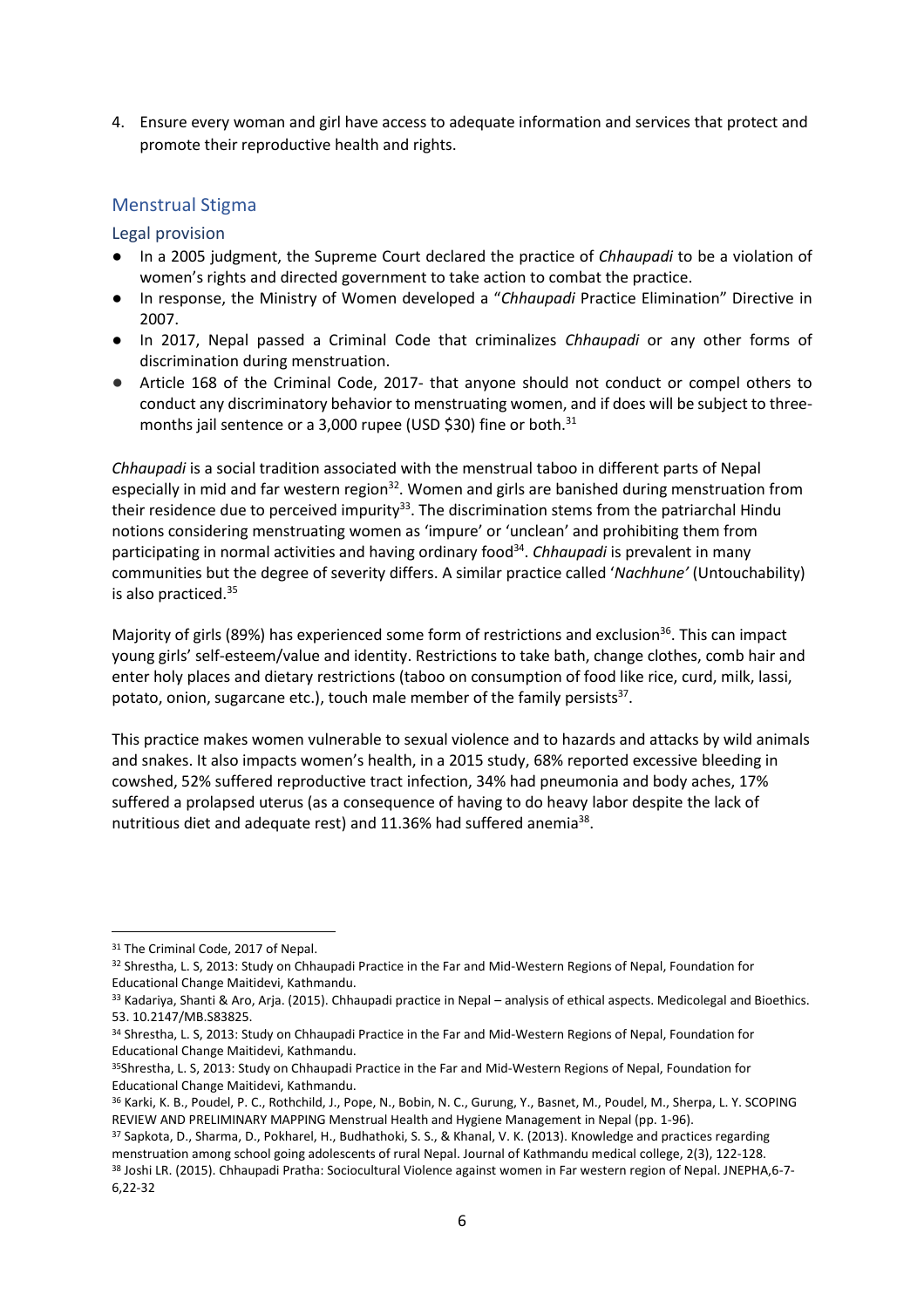4. Ensure every woman and girl have access to adequate information and services that protect and promote their reproductive health and rights.

# Menstrual Stigma

Legal provision

- In a 2005 judgment, the Supreme Court declared the practice of *Chhaupadi* to be a violation of women's rights and directed government to take action to combat the practice.
- In response, the Ministry of Women developed a "*Chhaupadi* Practice Elimination" Directive in 2007.
- In 2017, Nepal passed a Criminal Code that criminalizes *Chhaupadi* or any other forms of discrimination during menstruation.
- Article 168 of the Criminal Code, 2017- that anyone should not conduct or compel others to conduct any discriminatory behavior to menstruating women, and if does will be subject to threemonths jail sentence or a 3,000 rupee (USD \$30) fine or both.<sup>31</sup>

*Chhaupadi* is a social tradition associated with the menstrual taboo in different parts of Nepal especially in mid and far western region<sup>32</sup>. Women and girls are banished during menstruation from their residence due to perceived impurity $33$ . The discrimination stems from the patriarchal Hindu notions considering menstruating women as 'impure' or 'unclean' and prohibiting them from participating in normal activities and having ordinary food<sup>34</sup>. *Chhaupadi* is prevalent in many communities but the degree of severity differs. A similar practice called '*Nachhune'* (Untouchability) is also practiced. 35

Majority of girls (89%) has experienced some form of restrictions and exclusion<sup>36</sup>. This can impact young girls' self-esteem/value and identity. Restrictions to take bath, change clothes, comb hair and enter holy places and dietary restrictions (taboo on consumption of food like rice, curd, milk, lassi, potato, onion, sugarcane etc.), touch male member of the family persists<sup>37</sup>.

This practice makes women vulnerable to sexual violence and to hazards and attacks by wild animals and snakes. It also impacts women's health, in a 2015 study, 68% reported excessive bleeding in cowshed, 52% suffered reproductive tract infection, 34% had pneumonia and body aches, 17% suffered a prolapsed uterus (as a consequence of having to do heavy labor despite the lack of nutritious diet and adequate rest) and 11.36% had suffered anemia<sup>38</sup>.

<sup>31</sup> The Criminal Code, 2017 of Nepal.

<sup>32</sup> Shrestha, L. S, 2013: Study on Chhaupadi Practice in the Far and Mid-Western Regions of Nepal, Foundation for Educational Change Maitidevi, Kathmandu.

<sup>33</sup> Kadariya, Shanti & Aro, Arja. (2015). Chhaupadi practice in Nepal – analysis of ethical aspects. Medicolegal and Bioethics. 53. 10.2147/MB.S83825.

<sup>34</sup> Shrestha, L. S, 2013: Study on Chhaupadi Practice in the Far and Mid-Western Regions of Nepal, Foundation for Educational Change Maitidevi, Kathmandu.

<sup>35</sup>Shrestha, L. S, 2013: Study on Chhaupadi Practice in the Far and Mid-Western Regions of Nepal, Foundation for Educational Change Maitidevi, Kathmandu.

<sup>36</sup> Karki, K. B., Poudel, P. C., Rothchild, J., Pope, N., Bobin, N. C., Gurung, Y., Basnet, M., Poudel, M., Sherpa, L. Y. SCOPING REVIEW AND PRELIMINARY MAPPING Menstrual Health and Hygiene Management in Nepal (pp. 1-96).

<sup>37</sup> Sapkota, D., Sharma, D., Pokharel, H., Budhathoki, S. S., & Khanal, V. K. (2013). Knowledge and practices regarding menstruation among school going adolescents of rural Nepal. Journal of Kathmandu medical college, 2(3), 122-128. <sup>38</sup> Joshi LR. (2015). Chhaupadi Pratha: Sociocultural Violence against women in Far western region of Nepal. JNEPHA,6-7- 6,22-32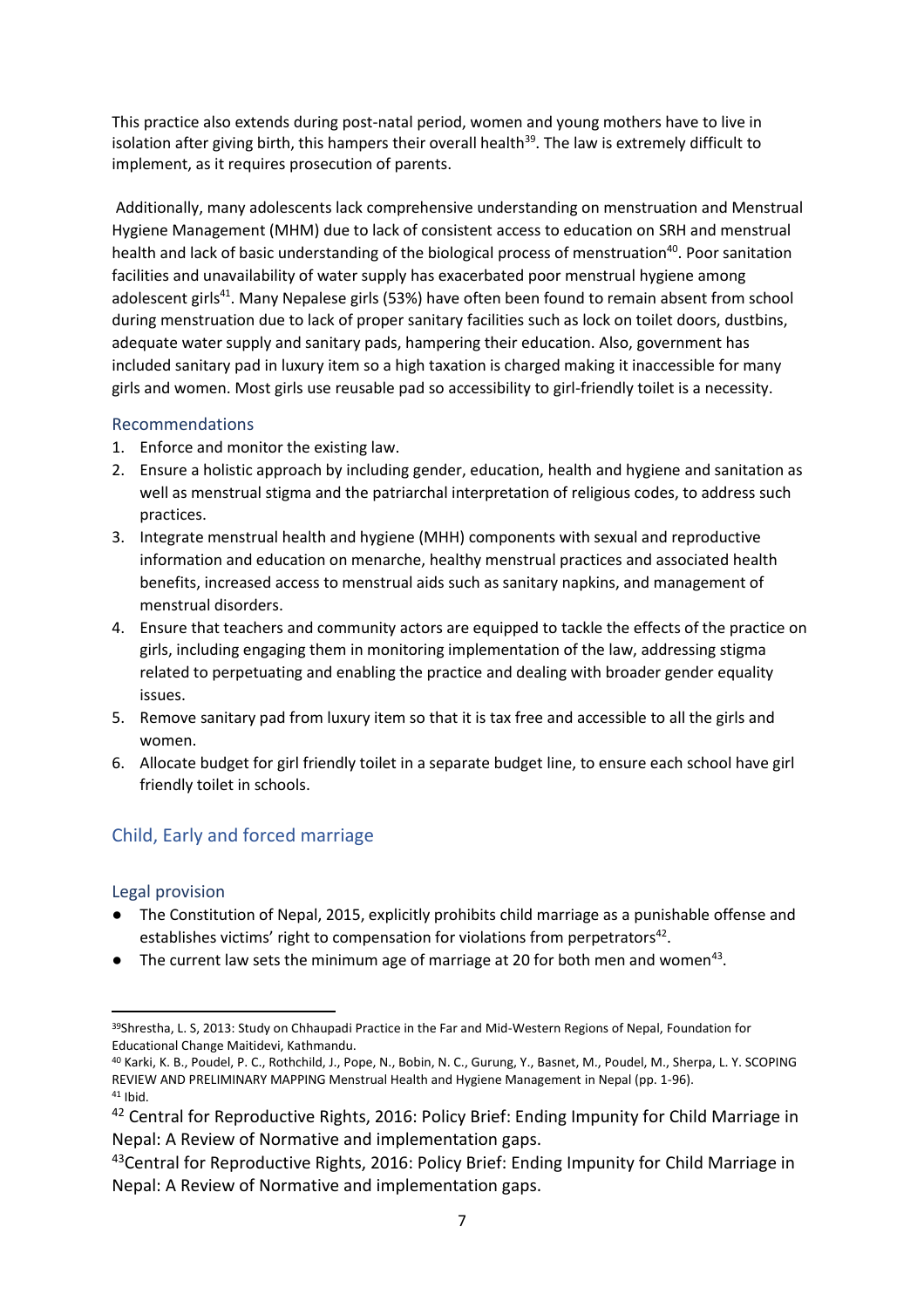This practice also extends during post-natal period, women and young mothers have to live in isolation after giving birth, this hampers their overall health<sup>39</sup>. The law is extremely difficult to implement, as it requires prosecution of parents.

Additionally, many adolescents lack comprehensive understanding on menstruation and Menstrual Hygiene Management (MHM) due to lack of consistent access to education on SRH and menstrual health and lack of basic understanding of the biological process of menstruation<sup>40</sup>. Poor sanitation facilities and unavailability of water supply has exacerbated poor menstrual hygiene among adolescent girls<sup>41</sup>. Many Nepalese girls (53%) have often been found to remain absent from school during menstruation due to lack of proper sanitary facilities such as lock on toilet doors, dustbins, adequate water supply and sanitary pads, hampering their education. Also, government has included sanitary pad in luxury item so a high taxation is charged making it inaccessible for many girls and women. Most girls use reusable pad so accessibility to girl-friendly toilet is a necessity.

# Recommendations

- 1. Enforce and monitor the existing law.
- 2. Ensure a holistic approach by including gender, education, health and hygiene and sanitation as well as menstrual stigma and the patriarchal interpretation of religious codes, to address such practices.
- 3. Integrate menstrual health and hygiene (MHH) components with sexual and reproductive information and education on menarche, healthy menstrual practices and associated health benefits, increased access to menstrual aids such as sanitary napkins, and management of menstrual disorders.
- 4. Ensure that teachers and community actors are equipped to tackle the effects of the practice on girls, including engaging them in monitoring implementation of the law, addressing stigma related to perpetuating and enabling the practice and dealing with broader gender equality issues.
- 5. Remove sanitary pad from luxury item so that it is tax free and accessible to all the girls and women.
- 6. Allocate budget for girl friendly toilet in a separate budget line, to ensure each school have girl friendly toilet in schools.

# Child, Early and forced marriage

## Legal provision

- The Constitution of Nepal, 2015, explicitly prohibits child marriage as a punishable offense and establishes victims' right to compensation for violations from perpetrators<sup>42</sup>.
- $\bullet$  The current law sets the minimum age of marriage at 20 for both men and women<sup>43</sup>.

 $\overline{a}$ 39Shrestha, L. S, 2013: Study on Chhaupadi Practice in the Far and Mid-Western Regions of Nepal, Foundation for Educational Change Maitidevi, Kathmandu.

<sup>40</sup> Karki, K. B., Poudel, P. C., Rothchild, J., Pope, N., Bobin, N. C., Gurung, Y., Basnet, M., Poudel, M., Sherpa, L. Y. SCOPING REVIEW AND PRELIMINARY MAPPING Menstrual Health and Hygiene Management in Nepal (pp. 1-96). <sup>41</sup> Ibid.

<sup>&</sup>lt;sup>42</sup> Central for Reproductive Rights, 2016: Policy Brief: Ending Impunity for Child Marriage in Nepal: A Review of Normative and implementation gaps.

<sup>&</sup>lt;sup>43</sup>Central for Reproductive Rights, 2016: Policy Brief: Ending Impunity for Child Marriage in Nepal: A Review of Normative and implementation gaps.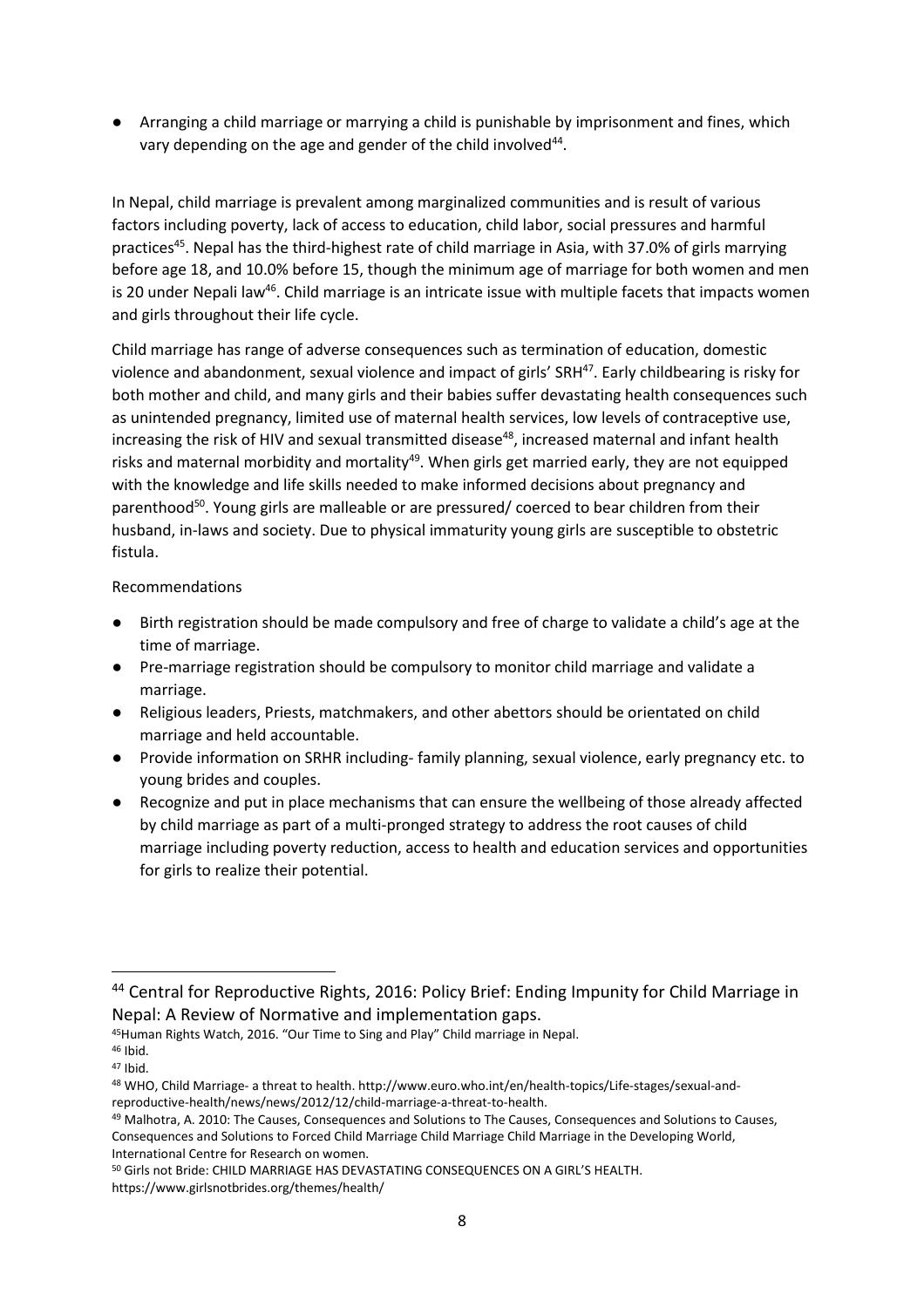● Arranging a child marriage or marrying a child is punishable by imprisonment and fines, which vary depending on the age and gender of the child involved $^{44}$ .

In Nepal, child marriage is prevalent among marginalized communities and is result of various factors including poverty, lack of access to education, child labor, social pressures and harmful practices<sup>45</sup>. Nepal has the third-highest rate of child marriage in Asia, with 37.0% of girls marrying before age 18, and 10.0% before 15, though the minimum age of marriage for both women and men is 20 under Nepali law<sup>46</sup>. Child marriage is an intricate issue with multiple facets that impacts women and girls throughout their life cycle.

Child marriage has range of adverse consequences such as termination of education, domestic violence and abandonment, sexual violence and impact of girls' SRH<sup>47</sup>. Early childbearing is risky for both mother and child, and many girls and their babies suffer devastating health consequences such as unintended pregnancy, limited use of maternal health services, low levels of contraceptive use, increasing the risk of HIV and sexual transmitted disease<sup>48</sup>, increased maternal and infant health risks and maternal morbidity and mortality<sup>49</sup>. When girls get married early, they are not equipped with the knowledge and life skills needed to make informed decisions about pregnancy and parenthood<sup>50</sup>. Young girls are malleable or are pressured/ coerced to bear children from their husband, in-laws and society. Due to physical immaturity young girls are susceptible to obstetric fistula.

Recommendations

- Birth registration should be made compulsory and free of charge to validate a child's age at the time of marriage.
- Pre-marriage registration should be compulsory to monitor child marriage and validate a marriage.
- Religious leaders, Priests, matchmakers, and other abettors should be orientated on child marriage and held accountable.
- Provide information on SRHR including- family planning, sexual violence, early pregnancy etc. to young brides and couples.
- Recognize and put in place mechanisms that can ensure the wellbeing of those already affected by child marriage as part of a multi-pronged strategy to address the root causes of child marriage including poverty reduction, access to health and education services and opportunities for girls to realize their potential.

<sup>45</sup>Human Rights Watch, 2016. "Our Time to Sing and Play" Child marriage in Nepal.

 $\overline{\phantom{a}}$ 

<sup>44</sup> Central for Reproductive Rights, 2016: Policy Brief: Ending Impunity for Child Marriage in Nepal: A Review of Normative and implementation gaps.

<sup>46</sup> Ibid. <sup>47</sup> Ibid.

<sup>48</sup> WHO, Child Marriage- a threat to health. http://www.euro.who.int/en/health-topics/Life-stages/sexual-andreproductive-health/news/news/2012/12/child-marriage-a-threat-to-health.

<sup>49</sup> Malhotra, A. 2010: The Causes, Consequences and Solutions to The Causes, Consequences and Solutions to Causes, Consequences and Solutions to Forced Child Marriage Child Marriage Child Marriage in the Developing World, International Centre for Research on women.

<sup>50</sup> Girls not Bride: CHILD MARRIAGE HAS DEVASTATING CONSEQUENCES ON A GIRL'S HEALTH. https://www.girlsnotbrides.org/themes/health/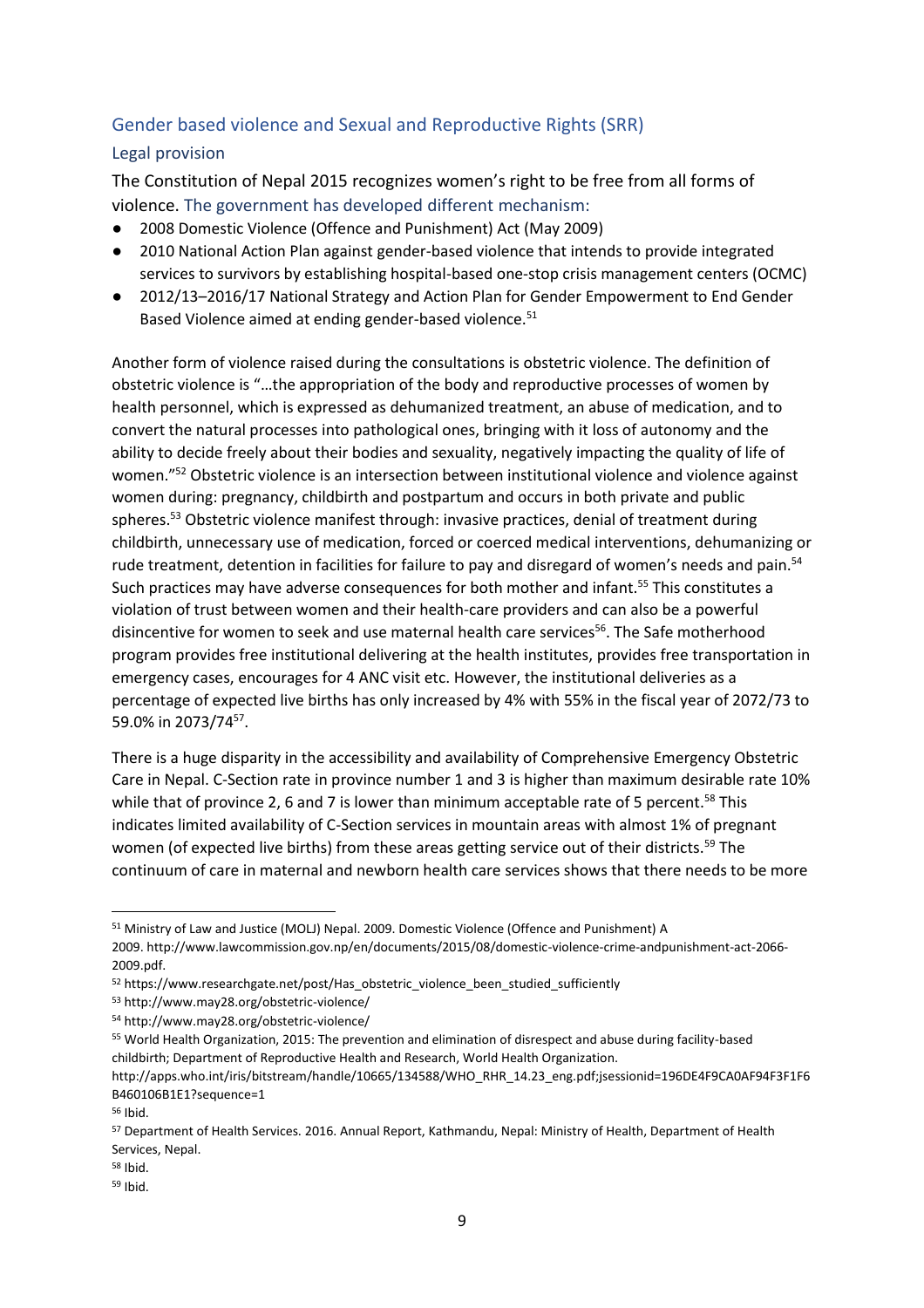# Gender based violence and Sexual and Reproductive Rights (SRR)

# Legal provision

The Constitution of Nepal 2015 recognizes women's right to be free from all forms of violence. The government has developed different mechanism:

- 2008 Domestic Violence (Offence and Punishment) Act (May 2009)
- 2010 National Action Plan against gender-based violence that intends to provide integrated services to survivors by establishing hospital-based one-stop crisis management centers (OCMC)
- 2012/13–2016/17 National Strategy and Action Plan for Gender Empowerment to End Gender Based Violence aimed at ending gender-based violence.<sup>51</sup>

Another form of violence raised during the consultations is obstetric violence. The definition of obstetric violence is "…the appropriation of the body and reproductive processes of women by health personnel, which is expressed as dehumanized treatment, an abuse of medication, and to convert the natural processes into pathological ones, bringing with it loss of autonomy and the ability to decide freely about their bodies and sexuality, negatively impacting the quality of life of women."<sup>52</sup> Obstetric violence is an intersection between institutional violence and violence against women during: pregnancy, childbirth and postpartum and occurs in both private and public spheres.<sup>53</sup> Obstetric violence manifest through: invasive practices, denial of treatment during childbirth, unnecessary use of medication, forced or coerced medical interventions, dehumanizing or rude treatment, detention in facilities for failure to pay and disregard of women's needs and pain.<sup>54</sup> Such practices may have adverse consequences for both mother and infant.<sup>55</sup> This constitutes a violation of trust between women and their health-care providers and can also be a powerful disincentive for women to seek and use maternal health care services<sup>56</sup>. The Safe motherhood program provides free institutional delivering at the health institutes, provides free transportation in emergency cases, encourages for 4 ANC visit etc. However, the institutional deliveries as a percentage of expected live births has only increased by 4% with 55% in the fiscal year of 2072/73 to 59.0% in 2073/74<sup>57</sup>.

There is a huge disparity in the accessibility and availability of Comprehensive Emergency Obstetric Care in Nepal. C-Section rate in province number 1 and 3 is higher than maximum desirable rate 10% while that of province 2, 6 and 7 is lower than minimum acceptable rate of 5 percent.<sup>58</sup> This indicates limited availability of C-Section services in mountain areas with almost 1% of pregnant women (of expected live births) from these areas getting service out of their districts.<sup>59</sup> The continuum of care in maternal and newborn health care services shows that there needs to be more

<sup>53</sup> http://www.may28.org/obstetric-violence/

 $\overline{a}$ 

<sup>58</sup> Ibid.

<sup>51</sup> Ministry of Law and Justice (MOLJ) Nepal. 2009. Domestic Violence (Offence and Punishment) A 2009. http://www.lawcommission.gov.np/en/documents/2015/08/domestic-violence-crime-andpunishment-act-2066- 2009.pdf.

<sup>52</sup> https://www.researchgate.net/post/Has\_obstetric\_violence\_been\_studied\_sufficiently

<sup>54</sup> http://www.may28.org/obstetric-violence/

<sup>55</sup> World Health Organization, 2015: The prevention and elimination of disrespect and abuse during facility-based childbirth; Department of Reproductive Health and Research, World Health Organization.

http://apps.who.int/iris/bitstream/handle/10665/134588/WHO\_RHR\_14.23\_eng.pdf;jsessionid=196DE4F9CA0AF94F3F1F6 B460106B1E1?sequence=1

<sup>56</sup> Ibid.

<sup>57</sup> Department of Health Services. 2016. Annual Report, Kathmandu, Nepal: Ministry of Health, Department of Health Services, Nepal.

<sup>59</sup> Ibid.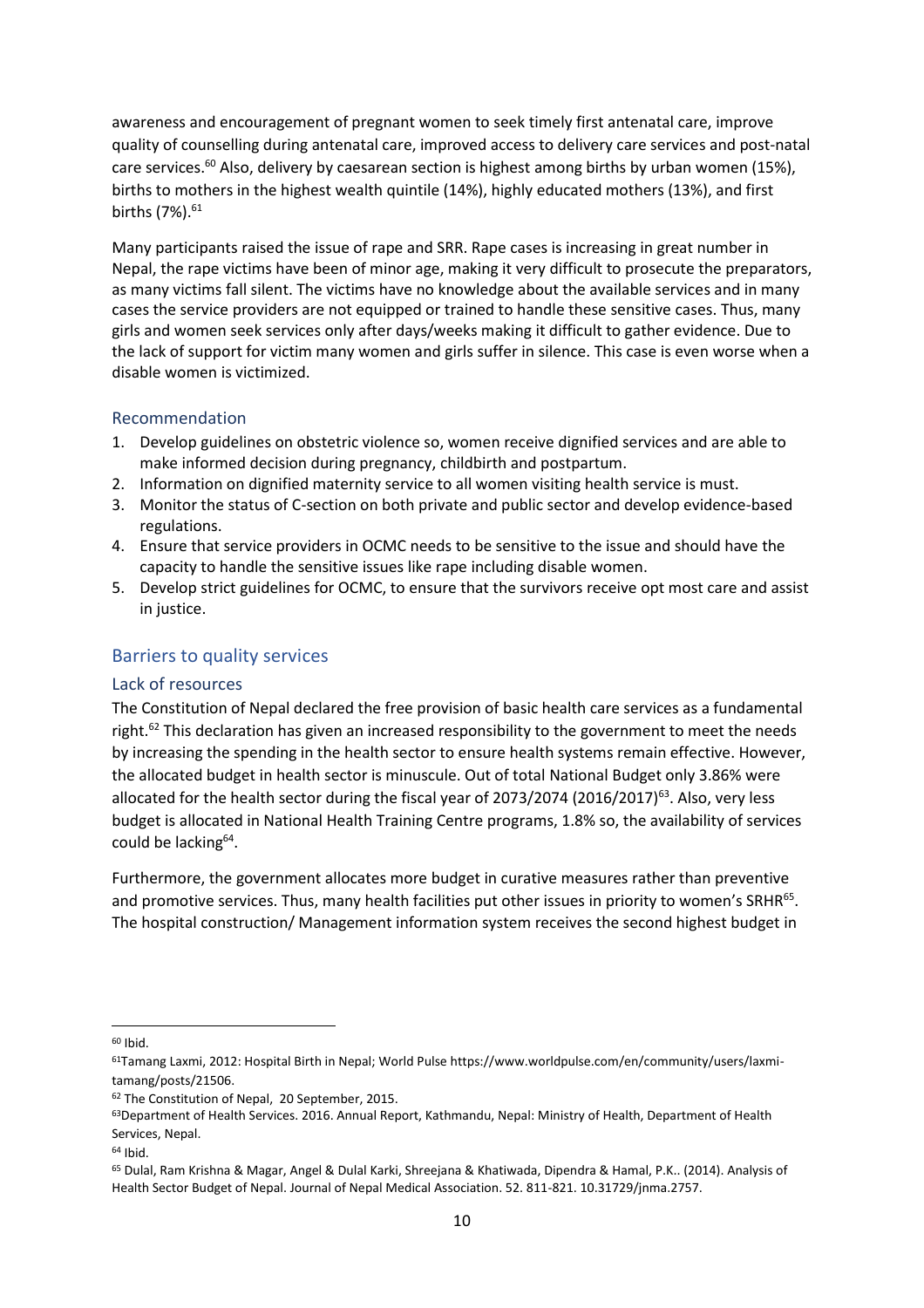awareness and encouragement of pregnant women to seek timely first antenatal care, improve quality of counselling during antenatal care, improved access to delivery care services and post-natal care services.<sup>60</sup> Also, delivery by caesarean section is highest among births by urban women (15%), births to mothers in the highest wealth quintile (14%), highly educated mothers (13%), and first births (7%).<sup>61</sup>

Many participants raised the issue of rape and SRR. Rape cases is increasing in great number in Nepal, the rape victims have been of minor age, making it very difficult to prosecute the preparators, as many victims fall silent. The victims have no knowledge about the available services and in many cases the service providers are not equipped or trained to handle these sensitive cases. Thus, many girls and women seek services only after days/weeks making it difficult to gather evidence. Due to the lack of support for victim many women and girls suffer in silence. This case is even worse when a disable women is victimized.

### Recommendation

- 1. Develop guidelines on obstetric violence so, women receive dignified services and are able to make informed decision during pregnancy, childbirth and postpartum.
- 2. Information on dignified maternity service to all women visiting health service is must.
- 3. Monitor the status of C-section on both private and public sector and develop evidence-based regulations.
- 4. Ensure that service providers in OCMC needs to be sensitive to the issue and should have the capacity to handle the sensitive issues like rape including disable women.
- 5. Develop strict guidelines for OCMC, to ensure that the survivors receive opt most care and assist in justice.

### Barriers to quality services

#### Lack of resources

The Constitution of Nepal declared the free provision of basic health care services as a fundamental right.<sup>62</sup> This declaration has given an increased responsibility to the government to meet the needs by increasing the spending in the health sector to ensure health systems remain effective. However, the allocated budget in health sector is minuscule. Out of total National Budget only 3.86% were allocated for the health sector during the fiscal year of 2073/2074 (2016/2017)<sup>63</sup>. Also, very less budget is allocated in National Health Training Centre programs, 1.8% so, the availability of services could be lacking<sup>64</sup>.

Furthermore, the government allocates more budget in curative measures rather than preventive and promotive services. Thus, many health facilities put other issues in priority to women's SRHR<sup>65</sup>. The hospital construction/ Management information system receives the second highest budget in

<sup>60</sup> Ibid.

<sup>61</sup>Tamang Laxmi, 2012: Hospital Birth in Nepal; World Pulse https://www.worldpulse.com/en/community/users/laxmitamang/posts/21506.

<sup>62</sup> The Constitution of Nepal, 20 September, 2015.

<sup>&</sup>lt;sup>63</sup>Department of Health Services. 2016. Annual Report, Kathmandu, Nepal: Ministry of Health, Department of Health Services, Nepal.

 $64$  Ibid.

<sup>65</sup> Dulal, Ram Krishna & Magar, Angel & Dulal Karki, Shreejana & Khatiwada, Dipendra & Hamal, P.K.. (2014). Analysis of Health Sector Budget of Nepal. Journal of Nepal Medical Association. 52. 811-821. 10.31729/jnma.2757.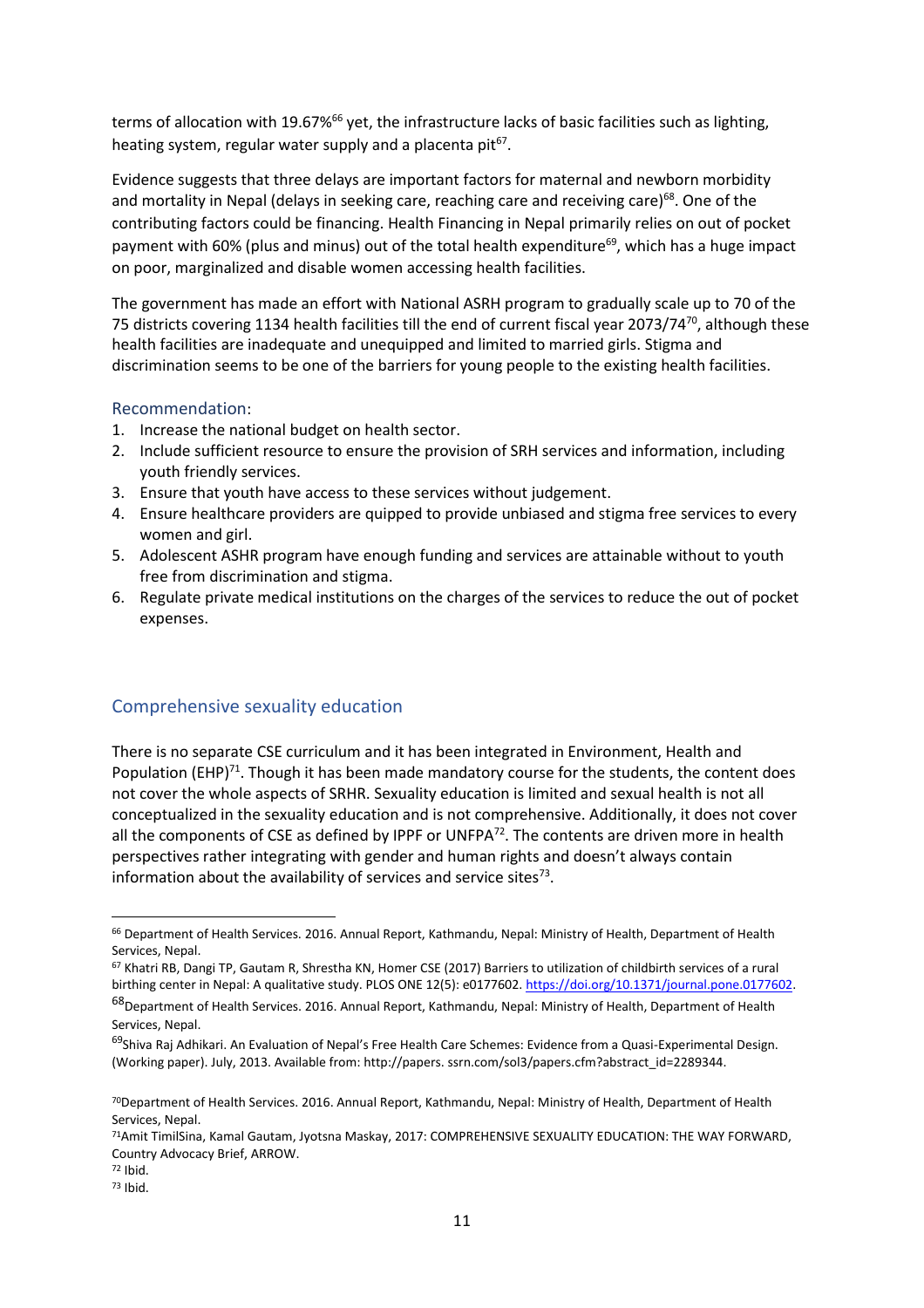terms of allocation with 19.67%<sup>66</sup> yet, the infrastructure lacks of basic facilities such as lighting, heating system, regular water supply and a placenta pit<sup>67</sup>.

Evidence suggests that three delays are important factors for maternal and newborn morbidity and mortality in Nepal (delays in seeking care, reaching care and receiving care)<sup>68</sup>. One of the contributing factors could be financing. Health Financing in Nepal primarily relies on out of pocket payment with 60% (plus and minus) out of the total health expenditure<sup>69</sup>, which has a huge impact on poor, marginalized and disable women accessing health facilities.

The government has made an effort with National ASRH program to gradually scale up to 70 of the 75 districts covering 1134 health facilities till the end of current fiscal year 2073/74<sup>70</sup>, although these health facilities are inadequate and unequipped and limited to married girls. Stigma and discrimination seems to be one of the barriers for young people to the existing health facilities.

### Recommendation:

- 1. Increase the national budget on health sector.
- 2. Include sufficient resource to ensure the provision of SRH services and information, including youth friendly services.
- 3. Ensure that youth have access to these services without judgement.
- 4. Ensure healthcare providers are quipped to provide unbiased and stigma free services to every women and girl.
- 5. Adolescent ASHR program have enough funding and services are attainable without to youth free from discrimination and stigma.
- 6. Regulate private medical institutions on the charges of the services to reduce the out of pocket expenses.

# Comprehensive sexuality education

There is no separate CSE curriculum and it has been integrated in Environment, Health and Population (EHP)<sup>71</sup>. Though it has been made mandatory course for the students, the content does not cover the whole aspects of SRHR. Sexuality education is limited and sexual health is not all conceptualized in the sexuality education and is not comprehensive. Additionally, it does not cover all the components of CSE as defined by IPPF or UNFPA<sup>72</sup>. The contents are driven more in health perspectives rather integrating with gender and human rights and doesn't always contain information about the availability of services and service sites<sup>73</sup>.

<sup>66</sup> Department of Health Services. 2016. Annual Report, Kathmandu, Nepal: Ministry of Health, Department of Health Services, Nepal.

<sup>67</sup> Khatri RB, Dangi TP, Gautam R, Shrestha KN, Homer CSE (2017) Barriers to utilization of childbirth services of a rural birthing center in Nepal: A qualitative study. PLOS ONE 12(5): e0177602. https://doi.org/10.1371/journal.pone.0177602.

<sup>68</sup>Department of Health Services. 2016. Annual Report, Kathmandu, Nepal: Ministry of Health, Department of Health Services, Nepal.

<sup>&</sup>lt;sup>69</sup>Shiva Raj Adhikari. An Evaluation of Nepal's Free Health Care Schemes: Evidence from a Quasi-Experimental Design. (Working paper). July, 2013. Available from: http://papers. ssrn.com/sol3/papers.cfm?abstract\_id=2289344.

<sup>70</sup>Department of Health Services. 2016. Annual Report, Kathmandu, Nepal: Ministry of Health, Department of Health Services, Nepal.

<sup>71</sup>Amit TimilSina, Kamal Gautam, Jyotsna Maskay, 2017: COMPREHENSIVE SEXUALITY EDUCATION: THE WAY FORWARD, Country Advocacy Brief, ARROW.

<sup>72</sup> Ibid.

<sup>73</sup> Ibid.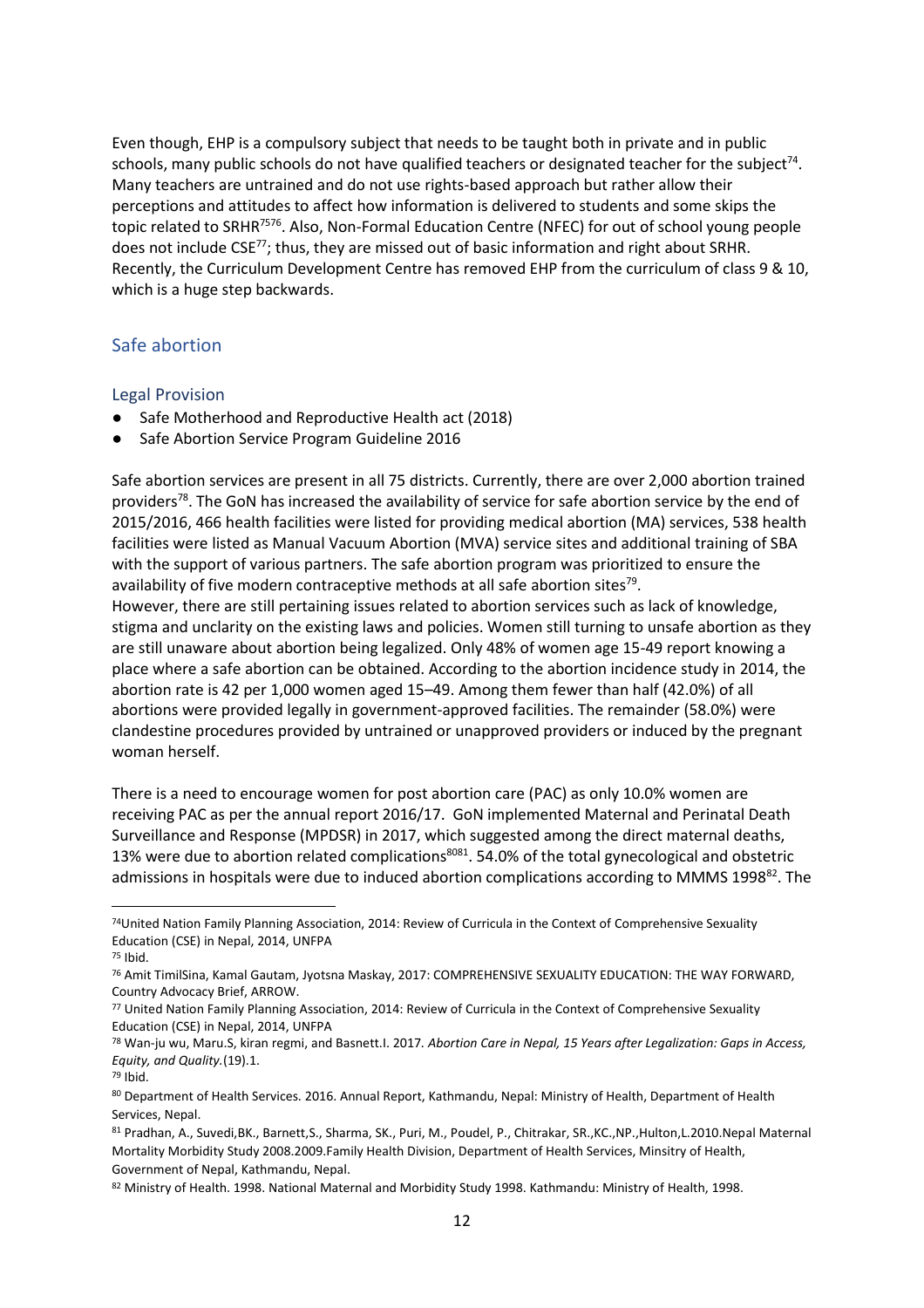Even though, EHP is a compulsory subject that needs to be taught both in private and in public schools, many public schools do not have qualified teachers or designated teacher for the subject $^{74}$ . Many teachers are untrained and do not use rights-based approach but rather allow their perceptions and attitudes to affect how information is delivered to students and some skips the topic related to SRHR<sup>7576</sup>. Also, Non-Formal Education Centre (NFEC) for out of school young people does not include CSE<sup>77</sup>; thus, they are missed out of basic information and right about SRHR. Recently, the Curriculum Development Centre has removed EHP from the curriculum of class 9 & 10, which is a huge step backwards.

## Safe abortion

#### Legal Provision

- Safe Motherhood and Reproductive Health act (2018)
- Safe Abortion Service Program Guideline 2016

Safe abortion services are present in all 75 districts. Currently, there are over 2,000 abortion trained providers<sup>78</sup>. The GoN has increased the availability of service for safe abortion service by the end of 2015/2016, 466 health facilities were listed for providing medical abortion (MA) services, 538 health facilities were listed as Manual Vacuum Abortion (MVA) service sites and additional training of SBA with the support of various partners. The safe abortion program was prioritized to ensure the availability of five modern contraceptive methods at all safe abortion sites<sup>79</sup>.

However, there are still pertaining issues related to abortion services such as lack of knowledge, stigma and unclarity on the existing laws and policies. Women still turning to unsafe abortion as they are still unaware about abortion being legalized. Only 48% of women age 15-49 report knowing a place where a safe abortion can be obtained. According to the abortion incidence study in 2014, the abortion rate is 42 per 1,000 women aged 15–49. Among them fewer than half (42.0%) of all abortions were provided legally in government-approved facilities. The remainder (58.0%) were clandestine procedures provided by untrained or unapproved providers or induced by the pregnant woman herself.

There is a need to encourage women for post abortion care (PAC) as only 10.0% women are receiving PAC as per the annual report 2016/17. GoN implemented Maternal and Perinatal Death Surveillance and Response (MPDSR) in 2017, which suggested among the direct maternal deaths, 13% were due to abortion related complications<sup>8081</sup>. 54.0% of the total gynecological and obstetric admissions in hospitals were due to induced abortion complications according to MMMS 1998<sup>82</sup>. The

 $\overline{a}$ 

82 Ministry of Health. 1998. National Maternal and Morbidity Study 1998. Kathmandu: Ministry of Health, 1998.

<sup>74</sup>United Nation Family Planning Association, 2014: Review of Curricula in the Context of Comprehensive Sexuality Education (CSE) in Nepal, 2014, UNFPA

 $75$  Ibid.

<sup>76</sup> Amit TimilSina, Kamal Gautam, Jyotsna Maskay, 2017: COMPREHENSIVE SEXUALITY EDUCATION: THE WAY FORWARD, Country Advocacy Brief, ARROW.

<sup>77</sup> United Nation Family Planning Association, 2014: Review of Curricula in the Context of Comprehensive Sexuality Education (CSE) in Nepal, 2014, UNFPA

<sup>78</sup> Wan-ju wu, Maru.S, kiran regmi, and Basnett.I. 2017*. Abortion Care in Nepal, 15 Years after Legalization: Gaps in Access, Equity, and Quality.*(19).1.

<sup>79</sup> Ibid.

<sup>80</sup> Department of Health Services. 2016. Annual Report, Kathmandu, Nepal: Ministry of Health, Department of Health Services, Nepal.

<sup>81</sup> Pradhan, A., Suvedi,BK., Barnett,S., Sharma, SK., Puri, M., Poudel, P., Chitrakar, SR.,KC.,NP.,Hulton,L.2010.Nepal Maternal Mortality Morbidity Study 2008.2009.Family Health Division, Department of Health Services, Minsitry of Health, Government of Nepal, Kathmandu, Nepal.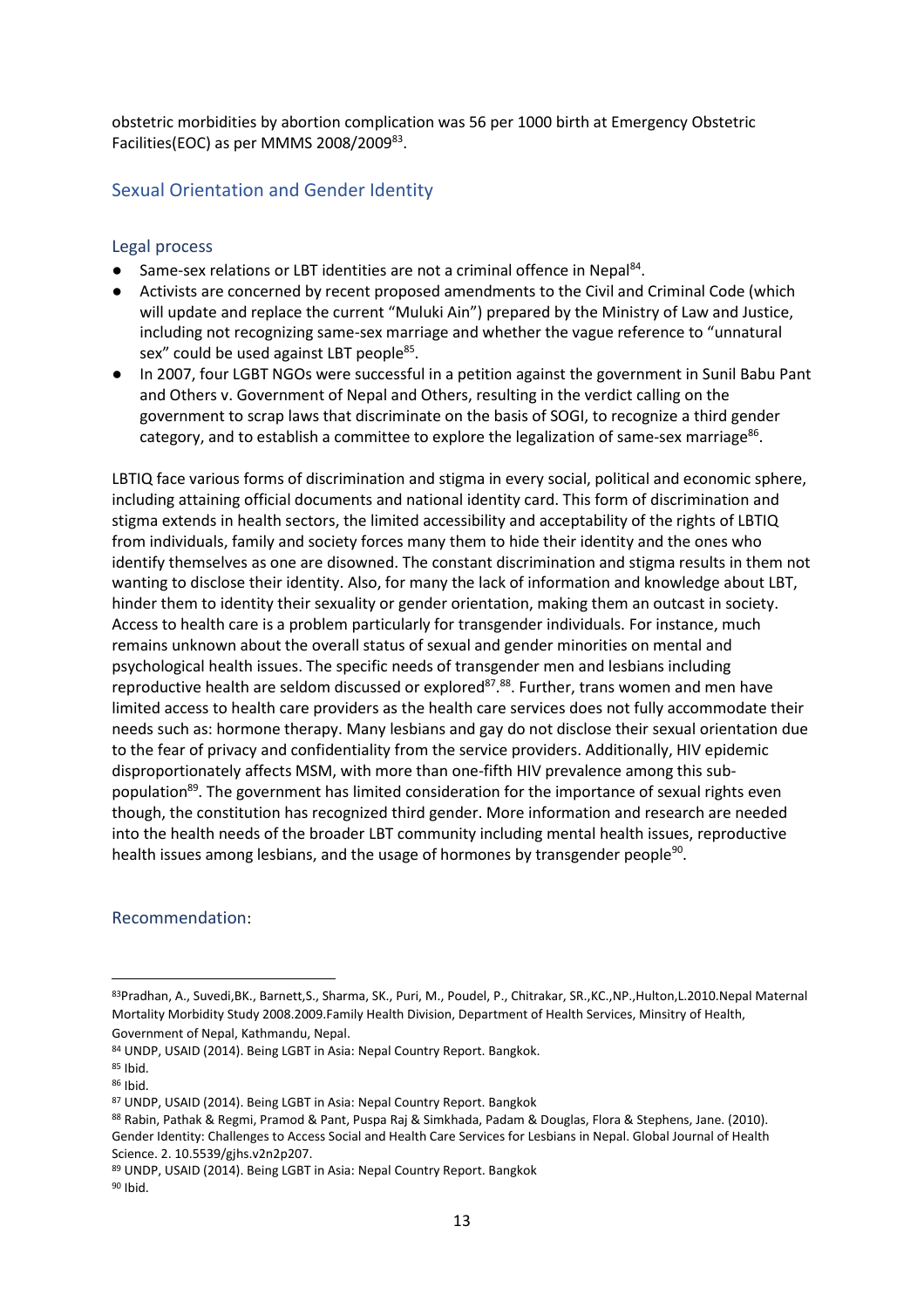obstetric morbidities by abortion complication was 56 per 1000 birth at Emergency Obstetric Facilities(EOC) as per MMMS 2008/2009<sup>83</sup>.

# Sexual Orientation and Gender Identity

#### Legal process

- Same-sex relations or LBT identities are not a criminal offence in Nepal<sup>84</sup>.
- Activists are concerned by recent proposed amendments to the Civil and Criminal Code (which will update and replace the current "Muluki Ain") prepared by the Ministry of Law and Justice, including not recognizing same-sex marriage and whether the vague reference to "unnatural sex" could be used against LBT people<sup>85</sup>.
- In 2007, four LGBT NGOs were successful in a petition against the government in Sunil Babu Pant and Others v. Government of Nepal and Others, resulting in the verdict calling on the government to scrap laws that discriminate on the basis of SOGI, to recognize a third gender category, and to establish a committee to explore the legalization of same-sex marriage $^{\rm 86}.$

LBTIQ face various forms of discrimination and stigma in every social, political and economic sphere, including attaining official documents and national identity card. This form of discrimination and stigma extends in health sectors, the limited accessibility and acceptability of the rights of LBTIQ from individuals, family and society forces many them to hide their identity and the ones who identify themselves as one are disowned. The constant discrimination and stigma results in them not wanting to disclose their identity. Also, for many the lack of information and knowledge about LBT, hinder them to identity their sexuality or gender orientation, making them an outcast in society. Access to health care is a problem particularly for transgender individuals. For instance, much remains unknown about the overall status of sexual and gender minorities on mental and psychological health issues. The specific needs of transgender men and lesbians including reproductive health are seldom discussed or explored<sup>87</sup>.<sup>88</sup>. Further, trans women and men have limited access to health care providers as the health care services does not fully accommodate their needs such as: hormone therapy. Many lesbians and gay do not disclose their sexual orientation due to the fear of privacy and confidentiality from the service providers. Additionally, HIV epidemic disproportionately affects MSM, with more than one-fifth HIV prevalence among this subpopulation<sup>89</sup>. The government has limited consideration for the importance of sexual rights even though, the constitution has recognized third gender. More information and research are needed into the health needs of the broader LBT community including mental health issues, reproductive health issues among lesbians, and the usage of hormones by transgender people<sup>90</sup>.

## Recommendation:

<sup>83</sup>Pradhan, A., Suvedi,BK., Barnett,S., Sharma, SK., Puri, M., Poudel, P., Chitrakar, SR.,KC.,NP.,Hulton,L.2010.Nepal Maternal Mortality Morbidity Study 2008.2009.Family Health Division, Department of Health Services, Minsitry of Health, Government of Nepal, Kathmandu, Nepal.

<sup>84</sup> UNDP, USAID (2014). Being LGBT in Asia: Nepal Country Report. Bangkok.

<sup>85</sup> Ibid.

<sup>86</sup> Ibid.

<sup>87</sup> UNDP, USAID (2014). Being LGBT in Asia: Nepal Country Report. Bangkok

<sup>88</sup> Rabin, Pathak & Regmi, Pramod & Pant, Puspa Raj & Simkhada, Padam & Douglas, Flora & Stephens, Jane. (2010). Gender Identity: Challenges to Access Social and Health Care Services for Lesbians in Nepal. Global Journal of Health Science. 2. 10.5539/gjhs.v2n2p207.

<sup>89</sup> UNDP, USAID (2014). Being LGBT in Asia: Nepal Country Report. Bangkok  $90$  Ibid.